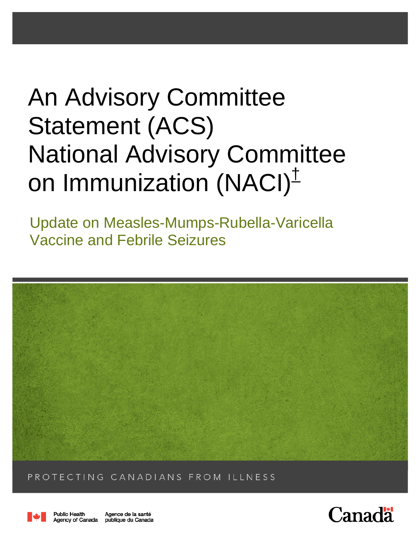# An Advisory Committee Statement (ACS) National Advisory Committee on Immunization (NACI)<sup>±</sup>

Update on Measles-Mumps-Rubella-Varicella Vaccine and Febrile Seizures



PROTECTING CANADIANS FROM ILLNESS



**Public Health** Agence de la santé Agency of Canada publique du Canada

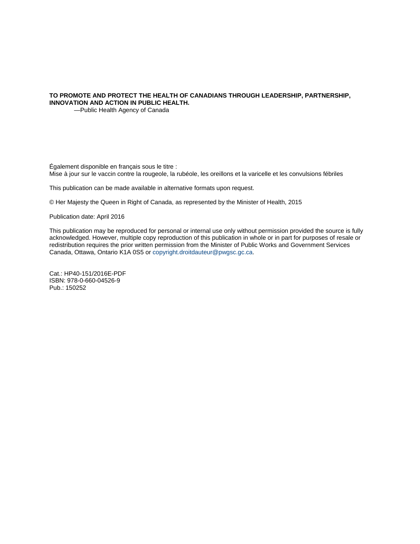#### **TO PROMOTE AND PROTECT THE HEALTH OF CANADIANS THROUGH LEADERSHIP, PARTNERSHIP, INNOVATION AND ACTION IN PUBLIC HEALTH.**

—Public Health Agency of Canada

Également disponible en français sous le titre :

Mise à jour sur le vaccin contre la rougeole, la rubéole, les oreillons et la varicelle et les convulsions fébriles

This publication can be made available in alternative formats upon request.

© Her Majesty the Queen in Right of Canada, as represented by the Minister of Health, 2015

Publication date: April 2016

This publication may be reproduced for personal or internal use only without permission provided the source is fully acknowledged. However, multiple copy reproduction of this publication in whole or in part for purposes of resale or redistribution requires the prior written permission from the Minister of Public Works and Government Services Canada, Ottawa, Ontario K1A 0S5 or copyright.droitdauteur@pwgsc.gc.ca.

Cat.: HP40-151/2016E-PDF ISBN: 978-0-660-04526-9 Pub.: 150252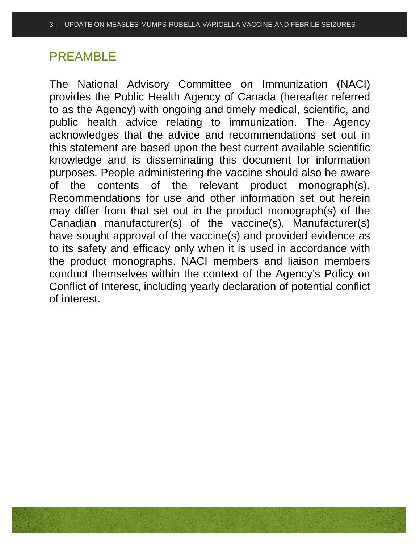# PREAMBLE

The National Advisory Committee on Immunization (NACI) provides the Public Health Agency of Canada (hereafter referred to as the Agency) with ongoing and timely medical, scientific, and public health advice relating to immunization. The Agency acknowledges that the advice and recommendations set out in this statement are based upon the best current available scientific knowledge and is disseminating this document for information purposes. People administering the vaccine should also be aware of the contents of the relevant product monograph(s). Recommendations for use and other information set out herein may differ from that set out in the product monograph(s) of the Canadian manufacturer(s) of the vaccine(s). Manufacturer(s) have sought approval of the vaccine(s) and provided evidence as to its safety and efficacy only when it is used in accordance with the product monographs. NACI members and liaison members conduct themselves within the context of the Agency's Policy on Conflict of Interest, including yearly declaration of potential conflict of interest.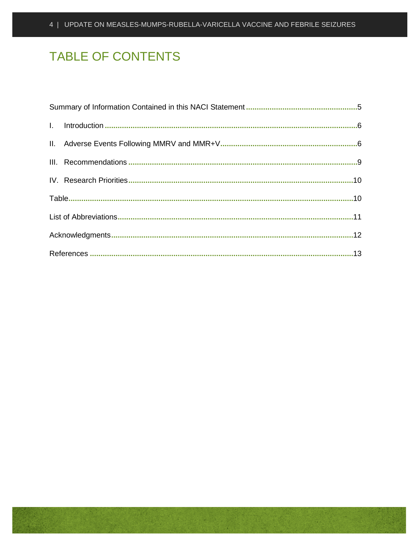# **TABLE OF CONTENTS**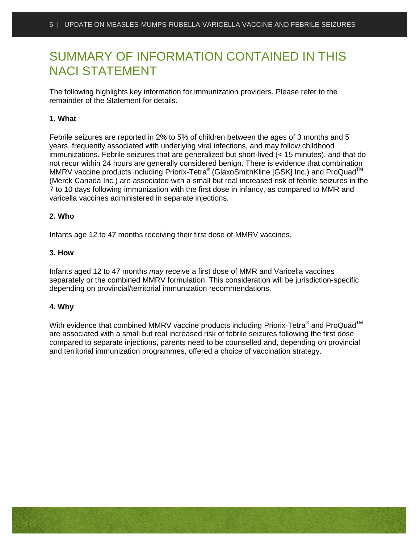# <span id="page-4-0"></span>SUMMARY OF INFORMATION CONTAINED IN THIS NACI STATEMENT

The following highlights key information for immunization providers. Please refer to the remainder of the Statement for details.

#### **1. What**

Febrile seizures are reported in 2% to 5% of children between the ages of 3 months and 5 years, frequently associated with underlying viral infections, and may follow childhood immunizations. Febrile seizures that are generalized but short-lived (< 15 minutes), and that do not recur within 24 hours are generally considered benign. There is evidence that combination MMRV vaccine products including Priorix-Tetra<sup>®</sup> (GlaxoSmithKline [GSK] Inc.) and ProQuad<sup>™</sup> (Merck Canada Inc.) are associated with a small but real increased risk of febrile seizures in the 7 to 10 days following immunization with the first dose in infancy, as compared to MMR and varicella vaccines administered in separate injections.

#### **2. Who**

Infants age 12 to 47 months receiving their first dose of MMRV vaccines.

#### **3. How**

Infants aged 12 to 47 months *may* receive a first dose of MMR and Varicella vaccines separately or the combined MMRV formulation. This consideration will be jurisdiction-specific depending on provincial/territorial immunization recommendations.

#### **4. Why**

With evidence that combined MMRV vaccine products including Priorix-Tetra<sup>®</sup> and ProQuad<sup>™</sup> are associated with a small but real increased risk of febrile seizures following the first dose compared to separate injections, parents need to be counselled and, depending on provincial and territorial immunization programmes, offered a choice of vaccination strategy.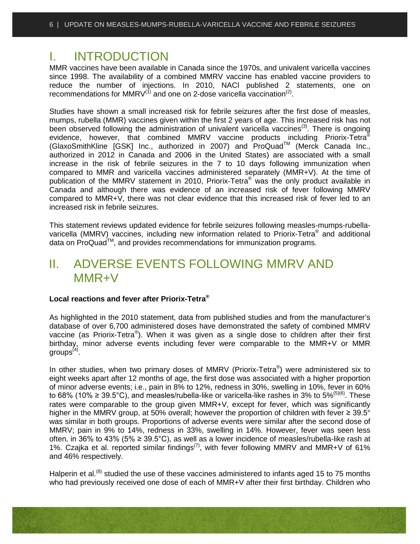### <span id="page-5-0"></span>I. INTRODUCTION

MMR vaccines have been available in Canada since the 1970s, and univalent varicella vaccines since 1998. The availability of a combined MMRV vaccine has enabled vaccine providers to reduce the number of injections. In 2010, NACI published 2 statements, one on recommendations for MMRV $^{(1)}$  and one on 2-dose varicella vaccination<sup>(2)</sup>.

Studies have shown a small increased risk for febrile seizures after the first dose of measles, mumps, rubella (MMR) vaccines given within the first 2 years of age. This increased risk has not been observed following the administration of univalent varicella vaccines<sup>(3)</sup>. There is ongoing evidence, however, that combined MMRV vaccine products including Priorix-Tetra® (GlaxoSmithKline [GSK] Inc., authorized in 2007) and ProQuadTM (Merck Canada Inc., authorized in 2012 in Canada and 2006 in the United States) are associated with a small increase in the risk of febrile seizures in the 7 to 10 days following immunization when compared to MMR and varicella vaccines administered separately (MMR+V). At the time of publication of the MMRV statement in 2010, Priorix-Tetra® was the only product available in Canada and although there was evidence of an increased risk of fever following MMRV compared to MMR+V, there was not clear evidence that this increased risk of fever led to an increased risk in febrile seizures.

This statement reviews updated evidence for febrile seizures following measles-mumps-rubellavaricella (MMRV) vaccines, including new information related to Priorix-Tetra<sup>®</sup> and additional data on ProQuad™, and provides recommendations for immunization programs.

# <span id="page-5-1"></span>II. ADVERSE EVENTS FOLLOWING MMRV AND MMR+V

#### **Local reactions and fever after Priorix-Tetra®**

As highlighted in the 2010 statement, data from published studies and from the manufacturer's database of over 6,700 administered doses have demonstrated the safety of combined MMRV vaccine (as Priorix-Tetra®). When it was given as a single dose to children after their first birthday, minor adverse events including fever were comparable to the MMR+V or MMR  $q$ roups<sup> $(4)$ </sup>.

In other studies, when two primary doses of MMRV (Priorix-Tetra<sup>®</sup>) were administered six to eight weeks apart after 12 months of age, the first dose was associated with a higher proportion of minor adverse events; i.e., pain in 8% to 12%, redness in 30%, swelling in 10%, fever in 60% to 68% (10%  $\geq$  39.5°C), and measles/rubella-like or varicella-like rashes in 3% to 5%<sup>(5)(6)</sup>. These rates were comparable to the group given MMR+V, except for fever, which was significantly higher in the MMRV group, at 50% overall; however the proportion of children with fever  $\geq 39.5^{\circ}$ was similar in both groups. Proportions of adverse events were similar after the second dose of MMRV; pain in 9% to 14%, redness in 33%, swelling in 14%. However, fever was seen less often, in 36% to 43% (5% ≥ 39.5°C), as well as a lower incidence of measles/rubella-like rash at 1%. Czajka et al. reported similar findings<sup>(7)</sup>, with fever following MMRV and MMR+V of 61% and 46% respectively.

Halperin et al.<sup>(8)</sup> studied the use of these vaccines administered to infants aged 15 to 75 months who had previously received one dose of each of MMR+V after their first birthday. Children who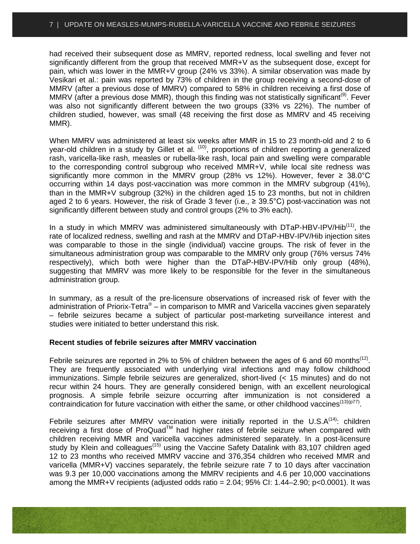had received their subsequent dose as MMRV, reported redness, local swelling and fever not significantly different from the group that received MMR+V as the subsequent dose, except for pain, which was lower in the MMR+V group (24% vs 33%). A similar observation was made by Vesikari et al.: pain was reported by 73% of children in the group receiving a second-dose of MMRV (after a previous dose of MMRV) compared to 58% in children receiving a first dose of MMRV (after a previous dose MMR), though this finding was not statistically significant<sup>(9)</sup>. Fever was also not significantly different between the two groups (33% vs 22%). The number of children studied, however, was small (48 receiving the first dose as MMRV and 45 receiving MMR).

When MMRV was administered at least six weeks after MMR in 15 to 23 month-old and 2 to 6 year-old children in a study by Gillet et al. (10), proportions of children reporting a generalized rash, varicella-like rash, measles or rubella-like rash, local pain and swelling were comparable to the corresponding control subgroup who received MMR+V, while local site redness was significantly more common in the MMRV group (28% vs 12%). However, fever  $\geq 38.0^{\circ}$ C occurring within 14 days post-vaccination was more common in the MMRV subgroup (41%), than in the MMR+V subgroup (32%) in the children aged 15 to 23 months, but not in children aged 2 to 6 years. However, the risk of Grade 3 fever (i.e.,  $\geq$  39.5°C) post-vaccination was not significantly different between study and control groups (2% to 3% each).

In a study in which MMRV was administered simultaneously with  $DTaP-HBV-IPV/Hib<sup>(11)</sup>$ , the rate of localized redness, swelling and rash at the MMRV and DTaP-HBV-IPV/Hib injection sites was comparable to those in the single (individual) vaccine groups. The risk of fever in the simultaneous administration group was comparable to the MMRV only group (76% versus 74% respectively), which both were higher than the DTaP-HBV-IPV/Hib only group (48%), suggesting that MMRV was more likely to be responsible for the fever in the simultaneous administration group.

In summary, as a result of the pre-licensure observations of increased risk of fever with the administration of Priorix-Tetra<sup>®</sup> – in comparison to MMR and Varicella vaccines given separately – febrile seizures became a subject of particular post-marketing surveillance interest and studies were initiated to better understand this risk.

#### **Recent studies of febrile seizures after MMRV vaccination**

Febrile seizures are reported in 2% to 5% of children between the ages of 6 and 60 months<sup>(12)</sup>. They are frequently associated with underlying viral infections and may follow childhood immunizations. Simple febrile seizures are generalized, short-lived (< 15 minutes) and do not recur within 24 hours. They are generally considered benign, with an excellent neurological prognosis. A simple febrile seizure occurring after immunization is not considered a contraindication for future vaccination with either the same, or other childhood vaccines<sup>(13)(p77)</sup>.

Febrile seizures after MMRV vaccination were initially reported in the U.S. $A^{(14)}$ : children receiving a first dose of ProQuad™ had higher rates of febrile seizure when compared with children receiving MMR and varicella vaccines administered separately. In a post-licensure study by Klein and colleagues<sup>(15)</sup> using the Vaccine Safety Datalink with 83,107 children aged 12 to 23 months who received MMRV vaccine and 376,354 children who received MMR and varicella (MMR+V) vaccines separately, the febrile seizure rate 7 to 10 days after vaccination was 9.3 per 10,000 vaccinations among the MMRV recipients and 4.6 per 10,000 vaccinations among the MMR+V recipients (adjusted odds ratio =  $2.04$ ;  $95\%$  CI:  $1.44-2.90$ ;  $p<0.0001$ ). It was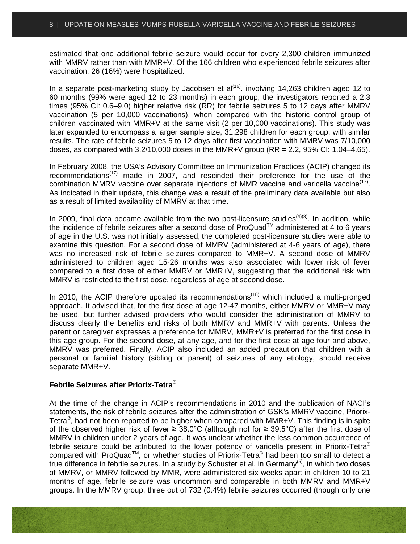estimated that one additional febrile seizure would occur for every 2,300 children immunized with MMRV rather than with MMR+V. Of the 166 children who experienced febrile seizures after vaccination, 26 (16%) were hospitalized.

In a separate post-marketing study by Jacobsen et  $al^{(16)}$ . involving 14,263 children aged 12 to 60 months (99% were aged 12 to 23 months) in each group, the investigators reported a 2.3 times (95% CI: 0.6–9.0) higher relative risk (RR) for febrile seizures 5 to 12 days after MMRV vaccination (5 per 10,000 vaccinations), when compared with the historic control group of children vaccinated with MMR+V at the same visit (2 per 10,000 vaccinations). This study was later expanded to encompass a larger sample size, 31,298 children for each group, with similar results. The rate of febrile seizures 5 to 12 days after first vaccination with MMRV was 7/10,000 doses, as compared with  $3.2/10,000$  doses in the MMR+V group (RR = 2.2, 95% CI: 1.04–4.65).

In February 2008, the USA's Advisory Committee on Immunization Practices (ACIP) changed its recommendations $(17)$  made in 2007, and rescinded their preference for the use of the combination MMRV vaccine over separate injections of MMR vaccine and varicella vaccine<sup> $(17)$ </sup>. As indicated in their update, this change was a result of the preliminary data available but also as a result of limited availability of MMRV at that time.

In 2009, final data became available from the two post-licensure studies<sup> $(4)(8)$ </sup>. In addition, while the incidence of febrile seizures after a second dose of ProQuad™ administered at 4 to 6 years of age in the U.S. was not initially assessed, the completed post-licensure studies were able to examine this question. For a second dose of MMRV (administered at 4-6 years of age), there was no increased risk of febrile seizures compared to MMR+V. A second dose of MMRV administered to children aged 15-26 months was also associated with lower risk of fever compared to a first dose of either MMRV or MMR+V, suggesting that the additional risk with MMRV is restricted to the first dose, regardless of age at second dose.

In 2010, the ACIP therefore updated its recommendations<sup> $(18)$ </sup> which included a multi-pronged approach. It advised that, for the first dose at age 12-47 months, either MMRV or MMR+V may be used, but further advised providers who would consider the administration of MMRV to discuss clearly the benefits and risks of both MMRV and MMR+V with parents. Unless the parent or caregiver expresses a preference for MMRV, MMR+V is preferred for the first dose in this age group. For the second dose, at any age, and for the first dose at age four and above, MMRV was preferred. Finally, ACIP also included an added precaution that children with a personal or familial history (sibling or parent) of seizures of any etiology, should receive separate MMR+V.

#### **Febrile Seizures after Priorix-Tetra**®

At the time of the change in ACIP's recommendations in 2010 and the publication of NACI's statements, the risk of febrile seizures after the administration of GSK's MMRV vaccine, Priorix-Tetra<sup>®</sup>, had not been reported to be higher when compared with MMR+V. This finding is in spite of the observed higher risk of fever ≥ 38.0°C (although not for ≥ 39.5°C) after the first dose of MMRV in children under 2 years of age. It was unclear whether the less common occurrence of febrile seizure could be attributed to the lower potency of varicella present in Priorix-Tetra® compared with ProQuad™, or whether studies of Priorix-Tetra® had been too small to detect a true difference in febrile seizures. In a study by Schuster et al. in Germany<sup>(5)</sup>, in which two doses of MMRV, or MMRV followed by MMR, were administered six weeks apart in children 10 to 21 months of age, febrile seizure was uncommon and comparable in both MMRV and MMR+V groups. In the MMRV group, three out of 732 (0.4%) febrile seizures occurred (though only one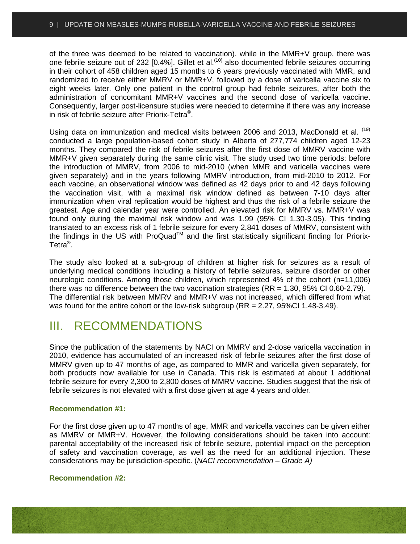of the three was deemed to be related to vaccination), while in the MMR+V group, there was one febrile seizure out of 232 [0.4%]. Gillet et al.<sup>(10)</sup> also documented febrile seizures occurring in their cohort of 458 children aged 15 months to 6 years previously vaccinated with MMR, and randomized to receive either MMRV or MMR+V, followed by a dose of varicella vaccine six to eight weeks later. Only one patient in the control group had febrile seizures, after both the administration of concomitant MMR+V vaccines and the second dose of varicella vaccine. Consequently, larger post-licensure studies were needed to determine if there was any increase in risk of febrile seizure after Priorix-Tetra®.

Using data on immunization and medical visits between 2006 and 2013, MacDonald et al. <sup>(19)</sup> conducted a large population-based cohort study in Alberta of 277,774 children aged 12-23 months. They compared the risk of febrile seizures after the first dose of MMRV vaccine with MMR+V given separately during the same clinic visit. The study used two time periods: before the introduction of MMRV, from 2006 to mid-2010 (when MMR and varicella vaccines were given separately) and in the years following MMRV introduction, from mid-2010 to 2012. For each vaccine, an observational window was defined as 42 days prior to and 42 days following the vaccination visit, with a maximal risk window defined as between 7-10 days after immunization when viral replication would be highest and thus the risk of a febrile seizure the greatest. Age and calendar year were controlled. An elevated risk for MMRV vs. MMR+V was found only during the maximal risk window and was 1.99 (95% CI 1.30-3.05). This finding translated to an excess risk of 1 febrile seizure for every 2,841 doses of MMRV, consistent with the findings in the US with ProQuad™ and the first statistically significant finding for Priorix-Tetra®.

The study also looked at a sub-group of children at higher risk for seizures as a result of underlying medical conditions including a history of febrile seizures, seizure disorder or other neurologic conditions. Among those children, which represented 4% of the cohort (n=11,006) there was no difference between the two vaccination strategies  $(RR = 1.30, 95\% \text{ Cl } 0.60\text{-}2.79)$ . The differential risk between MMRV and MMR+V was not increased, which differed from what was found for the entire cohort or the low-risk subgroup (RR = 2.27, 95%CI 1.48-3.49).

### <span id="page-8-0"></span>III. RECOMMENDATIONS

Since the publication of the statements by NACI on MMRV and 2-dose varicella vaccination in 2010, evidence has accumulated of an increased risk of febrile seizures after the first dose of MMRV given up to 47 months of age, as compared to MMR and varicella given separately, for both products now available for use in Canada. This risk is estimated at about 1 additional febrile seizure for every 2,300 to 2,800 doses of MMRV vaccine. Studies suggest that the risk of febrile seizures is not elevated with a first dose given at age 4 years and older.

#### **Recommendation #1:**

For the first dose given up to 47 months of age, MMR and varicella vaccines can be given either as MMRV or MMR+V. However, the following considerations should be taken into account: parental acceptability of the increased risk of febrile seizure, potential impact on the perception of safety and vaccination coverage, as well as the need for an additional injection. These considerations may be jurisdiction-specific. (*NACI recommendation – Grade A)*

#### **Recommendation #2:**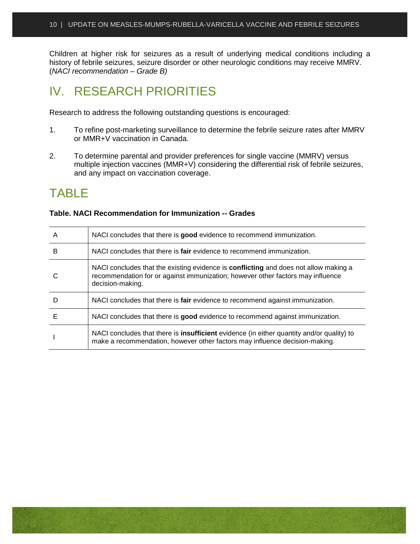Children at higher risk for seizures as a result of underlying medical conditions including a history of febrile seizures, seizure disorder or other neurologic conditions may receive MMRV. (*NACI recommendation – Grade B)*

## <span id="page-9-0"></span>IV. RESEARCH PRIORITIES

Research to address the following outstanding questions is encouraged:

- 1. To refine post-marketing surveillance to determine the febrile seizure rates after MMRV or MMR+V vaccination in Canada.
- 2. To determine parental and provider preferences for single vaccine (MMRV) versus multiple injection vaccines (MMR+V) considering the differential risk of febrile seizures, and any impact on vaccination coverage.

# <span id="page-9-1"></span>TABLE

| A | NACI concludes that there is good evidence to recommend immunization.                                                                                                                              |
|---|----------------------------------------------------------------------------------------------------------------------------------------------------------------------------------------------------|
| в | NACI concludes that there is <b>fair</b> evidence to recommend immunization.                                                                                                                       |
|   | NACI concludes that the existing evidence is <b>conflicting</b> and does not allow making a<br>recommendation for or against immunization; however other factors may influence<br>decision-making. |
| D | NACI concludes that there is fair evidence to recommend against immunization.                                                                                                                      |
| F | NACI concludes that there is good evidence to recommend against immunization.                                                                                                                      |
|   | NACI concludes that there is <b>insufficient</b> evidence (in either quantity and/or quality) to<br>make a recommendation, however other factors may influence decision-making.                    |

#### **Table. NACI Recommendation for Immunization -- Grades**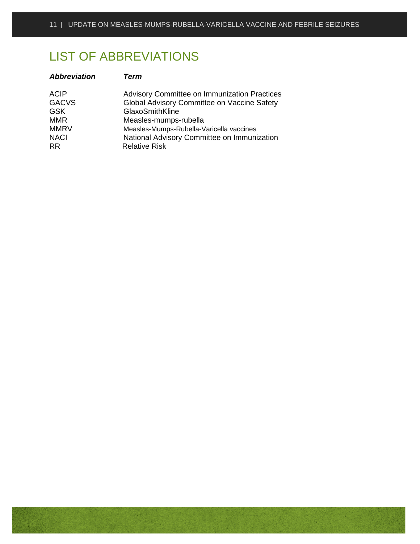# <span id="page-10-0"></span>LIST OF ABBREVIATIONS

| <b>Abbreviation</b>                                                                   | Term                                                                                                                                                                                                                                      |
|---------------------------------------------------------------------------------------|-------------------------------------------------------------------------------------------------------------------------------------------------------------------------------------------------------------------------------------------|
| <b>ACIP</b><br><b>GACVS</b><br><b>GSK</b><br><b>MMR</b><br><b>MMRV</b><br><b>NACI</b> | <b>Advisory Committee on Immunization Practices</b><br>Global Advisory Committee on Vaccine Safety<br>GlaxoSmithKline<br>Measles-mumps-rubella<br>Measles-Mumps-Rubella-Varicella vaccines<br>National Advisory Committee on Immunization |
| RR.                                                                                   | <b>Relative Risk</b>                                                                                                                                                                                                                      |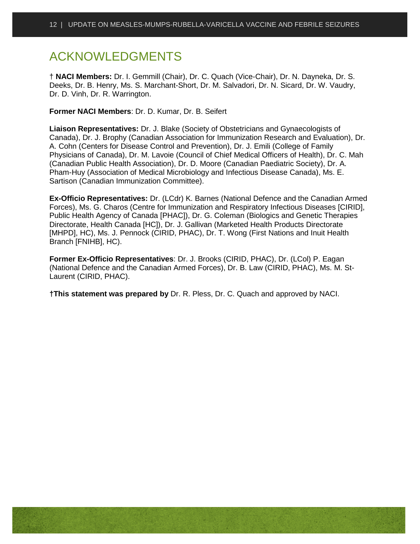# <span id="page-11-0"></span>ACKNOWLEDGMENTS

† **NACI Members:** Dr. I. Gemmill (Chair), Dr. C. Quach (Vice-Chair), Dr. N. Dayneka, Dr. S. Deeks, Dr. B. Henry, Ms. S. Marchant-Short, Dr. M. Salvadori, Dr. N. Sicard, Dr. W. Vaudry, Dr. D. Vinh, Dr. R. Warrington.

**Former NACI Members**: Dr. D. Kumar, Dr. B. Seifert

**Liaison Representatives:** Dr. J. Blake (Society of Obstetricians and Gynaecologists of Canada), Dr. J. Brophy (Canadian Association for Immunization Research and Evaluation), Dr. A. Cohn (Centers for Disease Control and Prevention), Dr. J. Emili (College of Family Physicians of Canada), Dr. M. Lavoie (Council of Chief Medical Officers of Health), Dr. C. Mah (Canadian Public Health Association), Dr. D. Moore (Canadian Paediatric Society), Dr. A. Pham-Huy (Association of Medical Microbiology and Infectious Disease Canada), Ms. E. Sartison (Canadian Immunization Committee).

**Ex-Officio Representatives:** Dr. (LCdr) K. Barnes (National Defence and the Canadian Armed Forces), Ms. G. Charos (Centre for Immunization and Respiratory Infectious Diseases [CIRID], Public Health Agency of Canada [PHAC]), Dr. G. Coleman (Biologics and Genetic Therapies Directorate, Health Canada [HC]), Dr. J. Gallivan (Marketed Health Products Directorate [MHPD], HC), Ms. J. Pennock (CIRID, PHAC), Dr. T. Wong (First Nations and Inuit Health Branch [FNIHB], HC).

**Former Ex-Officio Representatives**: Dr. J. Brooks (CIRID, PHAC), Dr. (LCol) P. Eagan (National Defence and the Canadian Armed Forces), Dr. B. Law (CIRID, PHAC), Ms. M. St-Laurent (CIRID, PHAC).

**†This statement was prepared by** Dr. R. Pless, Dr. C. Quach and approved by NACI.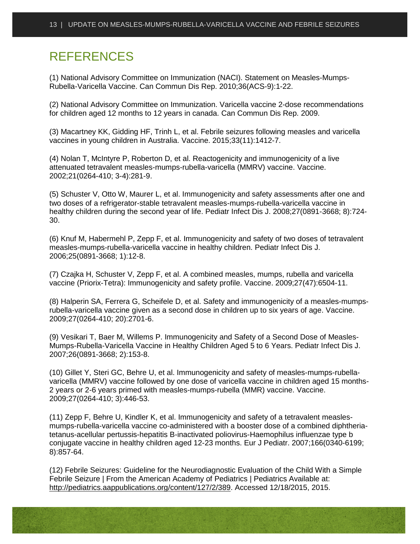# <span id="page-12-0"></span>**REFERENCES**

(1) National Advisory Committee on Immunization (NACI). Statement on Measles-Mumps-Rubella-Varicella Vaccine. Can Commun Dis Rep. 2010;36(ACS-9):1-22.

(2) National Advisory Committee on Immunization. Varicella vaccine 2-dose recommendations for children aged 12 months to 12 years in canada. Can Commun Dis Rep. 2009.

(3) Macartney KK, Gidding HF, Trinh L, et al. Febrile seizures following measles and varicella vaccines in young children in Australia. Vaccine. 2015;33(11):1412-7.

(4) Nolan T, McIntyre P, Roberton D, et al. Reactogenicity and immunogenicity of a live attenuated tetravalent measles-mumps-rubella-varicella (MMRV) vaccine. Vaccine. 2002;21(0264-410; 3-4):281-9.

(5) Schuster V, Otto W, Maurer L, et al. Immunogenicity and safety assessments after one and two doses of a refrigerator-stable tetravalent measles-mumps-rubella-varicella vaccine in healthy children during the second year of life. Pediatr Infect Dis J. 2008;27(0891-3668; 8):724- 30.

(6) Knuf M, Habermehl P, Zepp F, et al. Immunogenicity and safety of two doses of tetravalent measles-mumps-rubella-varicella vaccine in healthy children. Pediatr Infect Dis J. 2006;25(0891-3668; 1):12-8.

(7) Czajka H, Schuster V, Zepp F, et al. A combined measles, mumps, rubella and varicella vaccine (Priorix-Tetra): Immunogenicity and safety profile. Vaccine. 2009;27(47):6504-11.

(8) Halperin SA, Ferrera G, Scheifele D, et al. Safety and immunogenicity of a measles-mumpsrubella-varicella vaccine given as a second dose in children up to six years of age. Vaccine. 2009;27(0264-410; 20):2701-6.

(9) Vesikari T, Baer M, Willems P. Immunogenicity and Safety of a Second Dose of Measles-Mumps-Rubella-Varicella Vaccine in Healthy Children Aged 5 to 6 Years. Pediatr Infect Dis J. 2007;26(0891-3668; 2):153-8.

(10) Gillet Y, Steri GC, Behre U, et al. Immunogenicity and safety of measles-mumps-rubellavaricella (MMRV) vaccine followed by one dose of varicella vaccine in children aged 15 months-2 years or 2-6 years primed with measles-mumps-rubella (MMR) vaccine. Vaccine. 2009;27(0264-410; 3):446-53.

(11) Zepp F, Behre U, Kindler K, et al. Immunogenicity and safety of a tetravalent measlesmumps-rubella-varicella vaccine co-administered with a booster dose of a combined diphtheriatetanus-acellular pertussis-hepatitis B-inactivated poliovirus-Haemophilus influenzae type b conjugate vaccine in healthy children aged 12-23 months. Eur J Pediatr. 2007;166(0340-6199; 8):857-64.

(12) Febrile Seizures: Guideline for the Neurodiagnostic Evaluation of the Child With a Simple Febrile Seizure | From the American Academy of Pediatrics | Pediatrics Available at: [http://pediatrics.aappublications.org/content/127/2/389.](http://pediatrics.aappublications.org/content/127/2/389) Accessed 12/18/2015, 2015.